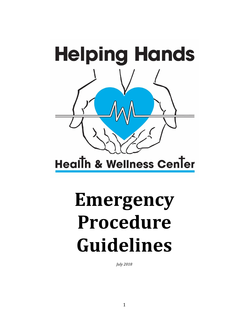

# **Emergency Procedure Guidelines**

*July 2018*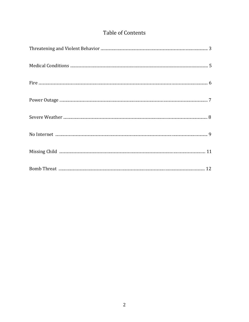## Table of Contents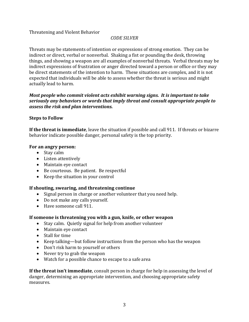## *CODE SILVER*

Threats may be statements of intention or expressions of strong emotion. They can be indirect or direct, verbal or nonverbal. Shaking a fist or pounding the desk, throwing things, and showing a weapon are all examples of nonverbal threats. Verbal threats may be indirect expressions of frustration or anger directed toward a person or office or they may be direct statements of the intention to harm. These situations are complex, and it is not expected that individuals will be able to assess whether the threat is serious and might actually lead to harm.

## *Most people who commit violent acts exhibit warning signs. It is important to take seriously any behaviors or words that imply threat and consult appropriate people to assess the risk and plan interventions.*

#### **Steps to Follow**

**If the threat is immediate**, leave the situation if possible and call 911. If threats or bizarre behavior indicate possible danger, personal safety is the top priority.

#### **For an angry person:**

- Stay calm
- Listen attentively
- Maintain eye contact
- Be courteous. Be patient. Be respectful
- Keep the situation in your control

#### **If shouting, swearing, and threatening continue**

- Signal person in charge or another volunteer that you need help.
- Do not make any calls yourself.
- Have someone call 911.

#### **If someone is threatening you with a gun, knife, or other weapon**

- Stay calm. Quietly signal for help from another volunteer
- Maintain eye contact
- Stall for time
- Keep talking—but follow instructions from the person who has the weapon
- Don't risk harm to yourself or others
- Never try to grab the weapon
- Watch for a possible chance to escape to a safe area

**If the threat isn't immediate**, consult person in charge for help in assessing the level of danger, determining an appropriate intervention, and choosing appropriate safety measures.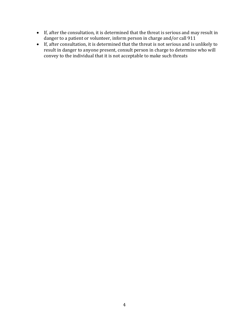- If, after the consultation, it is determined that the threat is serious and may result in danger to a patient or volunteer, inform person in charge and/or call 911
- If, after consultation, it is determined that the threat is not serious and is unlikely to result in danger to anyone present, consult person in charge to determine who will convey to the individual that it is not acceptable to make such threats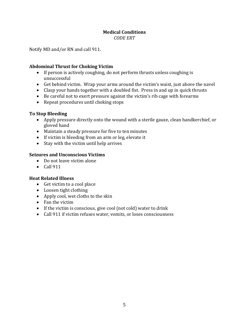## **Medical Conditions**

*CODE ERT*

Notify MD and/or RN and call 911.

## **Abdominal Thrust for Choking Victim**

- If person is actively coughing, do not perform thrusts unless coughing is unsuccessful
- Get behind victim. Wrap your arms around the victim's waist, just above the navel
- Clasp your hands together with a doubled fist. Press in and up in quick thrusts
- Be careful not to exert pressure against the victim's rib cage with forearms
- Repeat procedures until choking stops

## **To Stop Bleeding**

- Apply pressure directly onto the wound with a sterile gauze, clean handkerchief, or gloved hand
- Maintain a steady pressure for five to ten minutes
- If victim is bleeding from an arm or leg, elevate it
- Stay with the victim until help arrives

#### **Seizures and Unconscious Victims**

- Do not leave victim alone
- $\bullet$  Call 911

#### **Heat Related Illness**

- Get victim to a cool place
- Loosen tight clothing
- Apply cool, wet cloths to the skin
- Fan the victim
- If the victim is conscious, give cool (not cold) water to drink
- Call 911 if victim refuses water, vomits, or loses consciousness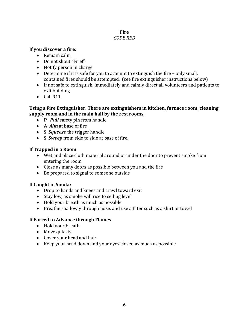#### **Fire** *CODE RED*

## **If you discover a fire:**

- Remain calm
- Do not shout "Fire!"
- Notify person in charge
- Determine if it is safe for you to attempt to extinguish the fire only small, contained fires should be attempted. (see fire extinguisher instructions below)
- If not safe to extinguish, immediately and calmly direct all volunteers and patients to exit building
- $\bullet$  Call 911

## **Using a Fire Extinguisher. There are extinguishers in kitchen, furnace room, cleaning supply room and in the main hall by the rest rooms.**

- **P** *Pull* safety pin from handle.
- **A** *Aim* at base of fire
- **S** *Squeeze* the trigger handle
- **S** *Sweep* from side to side at base of fire.

## **If Trapped in a Room**

- Wet and place cloth material around or under the door to prevent smoke from entering the room
- Close as many doors as possible between you and the fire
- Be prepared to signal to someone outside

## **If Caught in Smoke**

- Drop to hands and knees and crawl toward exit
- Stay low, as smoke will rise to ceiling level
- Hold your breath as much as possible
- Breathe shallowly through nose, and use a filter such as a shirt or towel

## **If Forced to Advance through Flames**

- Hold your breath
- Move quickly
- Cover your head and hair
- Keep your head down and your eyes closed as much as possible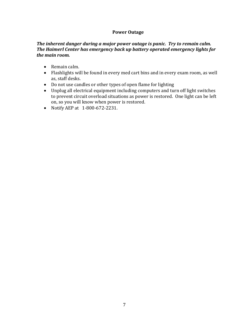## **Power Outage**

## *The inherent danger during a major power outage is panic. Try to remain calm. The Haimerl Center has emergency back up battery operated emergency lights for the main room.*

- Remain calm.
- Flashlights will be found in every med cart bins and in every exam room, as well as, staff desks.
- Do not use candles or other types of open flame for lighting
- Unplug all electrical equipment including computers and turn off light switches to prevent circuit overload situations as power is restored. One light can be left on, so you will know when power is restored.
- Notify AEP at 1-800-672-2231.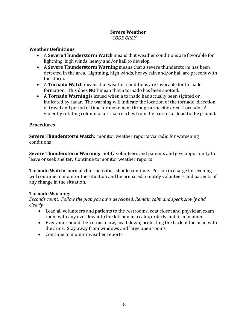## **Severe Weather** *CODE GRAY*

## **Weather Definitions**

- A **Severe Thunderstorm Watch** means that weather conditions are favorable for lightning, high winds, heavy and/or hail to develop.
- A **Severe Thunderstorm Warning** means that a severe thunderstorm has been detected in the area. Lightning, high winds, heavy rain and/or hail are present with the storm.
- A **Tornado Watch** means that weather conditions are favorable for tornado formation. This does **NOT** mean that a tornado has been spotted.
- A **Tornado Warning** is issued when a tornado has actually been sighted or indicated by radar. The warning will indicate the location of the tornado, direction of travel and period of time for movement through a specific area. Tornado: A violently rotating column of air that reaches from the base of a cloud to the ground.

## **Procedures**

**Severe Thunderstorm Watch:** monitor weather reports via radio for worsening conditions

**Severe Thunderstorm Warning:** notify volunteers and patients and give opportunity to leave or seek shelter. Continue to monitor weather reports

**Tornado Watch:** normal clinic activities should continue. Person in charge for evening will continue to monitor the situation and be prepared to notify volunteers and patients of any change in the situation.

## **Tornado Warning:**

*Seconds count. Follow the plan you have developed. Remain calm and speak slowly and clearly* 

- Lead all volunteers and patients to the restrooms, coat closet and physician exam room with any overflow into the kitchen in a calm, orderly and firm manner.
- Everyone should then crouch low, head down, protecting the back of the head with the arms. Stay away from windows and large open rooms.
- Continue to monitor weather reports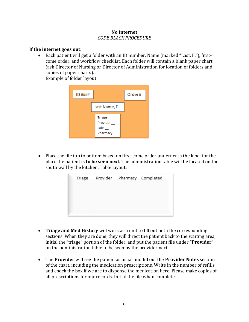## **No Internet** *CODE BLACK PROCEDURE*

## **If the internet goes out:**

 Each patient will get a folder with an ID number, Name (marked "Last, F."), firstcome order, and workflow checklist. Each folder will contain a blank paper chart (ask Director of Nursing or Director of Administration for location of folders and copies of paper charts).

Example of folder layout:



• Place the file top to bottom based on first-come order underneath the label for the place the patient is **to be seen next.** The administration table will be located on the south wall by the kitchen. Table layout:

| Triage |  | Provider Pharmacy Completed |
|--------|--|-----------------------------|
|        |  |                             |
|        |  |                             |
|        |  |                             |
|        |  |                             |

- **Triage and Med History** will work as a unit to fill out both the corresponding sections. When they are done, they will direct the patient back to the waiting area, initial the "triage" portion of the folder, and put the patient file under **"Provider"** on the administration table to be seen by the provider next.
- The **Provider** will see the patient as usual and fill out the **Provider Notes** section of the chart, including the medication prescriptions. Write in the number of refills and check the box if we are to dispense the medication here. Please make copies of all prescriptions for our records. Initial the file when complete.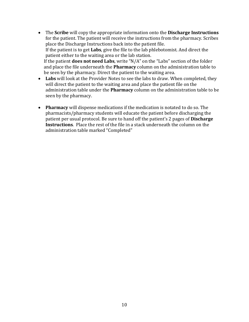- The **Scribe** will copy the appropriate information onto the **Discharge Instructions** for the patient. The patient will receive the instructions from the pharmacy. Scribes place the Discharge Instructions back into the patient file. If the patient is to get **Labs**, give the file to the lab phlebotomist. And direct the patient either to the waiting area or the lab station. If the patient **does not need Labs**, write "N/A" on the "Labs" section of the folder and place the file underneath the **Pharmacy** column on the administration table to be seen by the pharmacy. Direct the patient to the waiting area.
- **Labs** will look at the Provider Notes to see the labs to draw. When completed, they will direct the patient to the waiting area and place the patient file on the administration table under the **Pharmacy** column on the administration table to be seen by the pharmacy.
- **Pharmacy** will dispense medications if the medication is notated to do so. The pharmacists/pharmacy students will educate the patient before discharging the patient per usual protocol. Be sure to hand off the patient's 2 pages of **Discharge Instructions**. Place the rest of the file in a stack underneath the column on the administration table marked "Completed"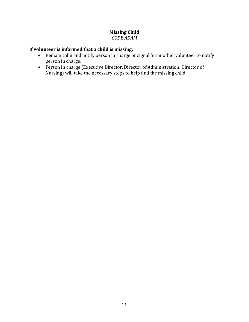#### **Missing Child** *CODE ADAM*

## **If volunteer is informed that a child is missing:**

- Remain calm and notify person in charge or signal for another volunteer to notify person in charge.
- Person in charge (Executive Director, Director of Administration, Director of Nursing) will take the necessary steps to help find the missing child.